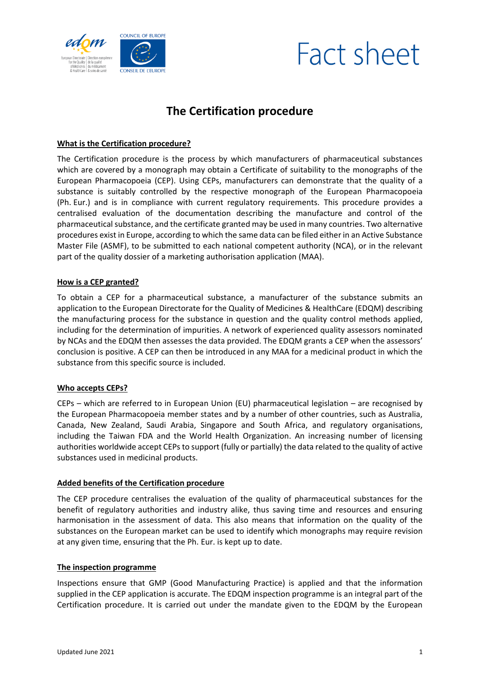



# **The Certification procedure**

## **What is the Certification procedure?**

The Certification procedure is the process by which manufacturers of pharmaceutical substances which are covered by a monograph may obtain a Certificate of suitability to the monographs of the European Pharmacopoeia (CEP). Using CEPs, manufacturers can demonstrate that the quality of a substance is suitably controlled by the respective monograph of the European Pharmacopoeia (Ph. Eur.) and is in compliance with current regulatory requirements. This procedure provides a centralised evaluation of the documentation describing the manufacture and control of the pharmaceutical substance, and the certificate granted may be used in many countries. Two alternative procedures exist in Europe, according to which the same data can be filed either in an Active Substance Master File (ASMF), to be submitted to each national competent authority (NCA), or in the relevant part of the quality dossier of a marketing authorisation application (MAA).

### **How is a CEP granted?**

To obtain a CEP for a pharmaceutical substance, a manufacturer of the substance submits an application to the European Directorate for the Quality of Medicines & HealthCare (EDQM) describing the manufacturing process for the substance in question and the quality control methods applied, including for the determination of impurities. A network of experienced quality assessors nominated by NCAs and the EDQM then assesses the data provided. The EDQM grants a CEP when the assessors' conclusion is positive. A CEP can then be introduced in any MAA for a medicinal product in which the substance from this specific source is included.

### **Who accepts CEPs?**

CEPs – which are referred to in European Union (EU) pharmaceutical legislation – are recognised by the European Pharmacopoeia member states and by a number of other countries, such as Australia, Canada, New Zealand, Saudi Arabia, Singapore and South Africa, and regulatory organisations, including the Taiwan FDA and the World Health Organization. An increasing number of licensing authorities worldwide accept CEPs to support (fully or partially) the data related to the quality of active substances used in medicinal products.

### **Added benefits of the Certification procedure**

The CEP procedure centralises the evaluation of the quality of pharmaceutical substances for the benefit of regulatory authorities and industry alike, thus saving time and resources and ensuring harmonisation in the assessment of data. This also means that information on the quality of the substances on the European market can be used to identify which monographs may require revision at any given time, ensuring that the Ph. Eur. is kept up to date.

### **The inspection programme**

Inspections ensure that GMP (Good Manufacturing Practice) is applied and that the information supplied in the CEP application is accurate. The EDQM inspection programme is an integral part of the Certification procedure. It is carried out under the mandate given to the EDQM by the European